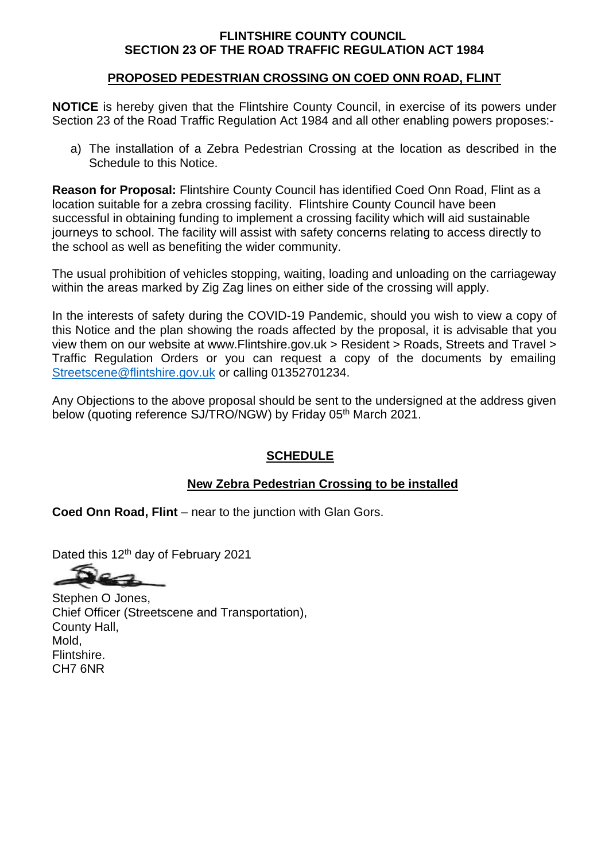## **FLINTSHIRE COUNTY COUNCIL SECTION 23 OF THE ROAD TRAFFIC REGULATION ACT 1984**

## **PROPOSED PEDESTRIAN CROSSING ON COED ONN ROAD, FLINT**

**NOTICE** is hereby given that the Flintshire County Council, in exercise of its powers under Section 23 of the Road Traffic Regulation Act 1984 and all other enabling powers proposes:-

a) The installation of a Zebra Pedestrian Crossing at the location as described in the Schedule to this Notice.

**Reason for Proposal:** Flintshire County Council has identified Coed Onn Road, Flint as a location suitable for a zebra crossing facility. Flintshire County Council have been successful in obtaining funding to implement a crossing facility which will aid sustainable journeys to school. The facility will assist with safety concerns relating to access directly to the school as well as benefiting the wider community.

The usual prohibition of vehicles stopping, waiting, loading and unloading on the carriageway within the areas marked by Zig Zag lines on either side of the crossing will apply.

In the interests of safety during the COVID-19 Pandemic, should you wish to view a copy of this Notice and the plan showing the roads affected by the proposal, it is advisable that you view them on our website at www.Flintshire.gov.uk > Resident > Roads, Streets and Travel > Traffic Regulation Orders or you can request a copy of the documents by emailing [Streetscene@flintshire.gov.uk](mailto:Streetscene@flintshire.gov.uk) or calling 01352701234.

Any Objections to the above proposal should be sent to the undersigned at the address given below (quoting reference SJ/TRO/NGW) by Friday 05<sup>th</sup> March 2021.

## **SCHEDULE**

## **New Zebra Pedestrian Crossing to be installed**

**Coed Onn Road, Flint** – near to the junction with Glan Gors.

Dated this 12<sup>th</sup> day of February 2021

Stephen O Jones, Chief Officer (Streetscene and Transportation), County Hall, Mold, Flintshire. CH7 6NR